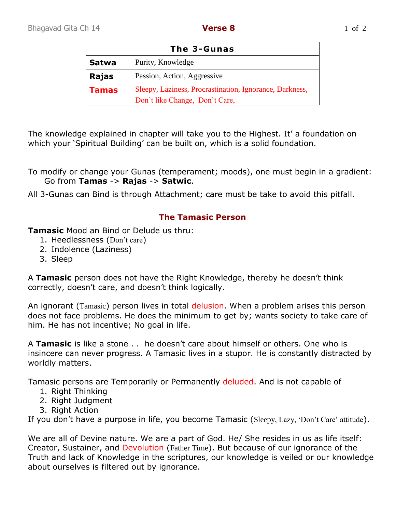| The 3-Gunas  |                                                         |
|--------------|---------------------------------------------------------|
| <b>Satwa</b> | Purity, Knowledge                                       |
| Rajas        | Passion, Action, Aggressive                             |
| Tamas        | Sleepy, Laziness, Procrastination, Ignorance, Darkness, |
|              | Don't like Change, Don't Care,                          |

The knowledge explained in chapter will take you to the Highest. It' a foundation on which your 'Spiritual Building' can be built on, which is a solid foundation.

To modify or change your Gunas (temperament; moods), one must begin in a gradient: Go from **Tamas** -> **Rajas** -> **Satwic**.

All 3-Gunas can Bind is through Attachment; care must be take to avoid this pitfall.

## **The Tamasic Person**

**Tamasic** Mood an Bind or Delude us thru:

- 1. Heedlessness (Don't care)
- 2. Indolence (Laziness)
- 3. Sleep

A **Tamasic** person does not have the Right Knowledge, thereby he doesn't think correctly, doesn't care, and doesn't think logically.

An ignorant (Tamasic) person lives in total delusion. When a problem arises this person does not face problems. He does the minimum to get by; wants society to take care of him. He has not incentive; No goal in life.

A **Tamasic** is like a stone . . he doesn't care about himself or others. One who is insincere can never progress. A Tamasic lives in a stupor. He is constantly distracted by worldly matters.

Tamasic persons are Temporarily or Permanently deluded. And is not capable of

- 1. Right Thinking
- 2. Right Judgment
- 3. Right Action

If you don't have a purpose in life, you become Tamasic (Sleepy, Lazy, 'Don't Care' attitude).

We are all of Devine nature. We are a part of God. He/ She resides in us as life itself: Creator, Sustainer, and Devolution (Father Time). But because of our ignorance of the Truth and lack of Knowledge in the scriptures, our knowledge is veiled or our knowledge about ourselves is filtered out by ignorance.